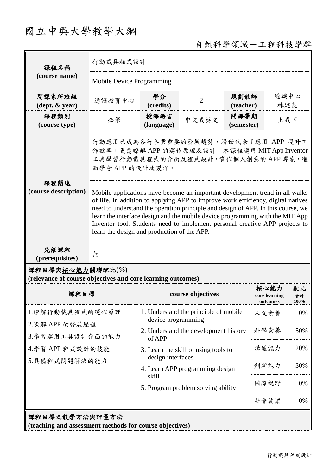## 國立中興大學教學大綱

自然科學領域-工程科技學群

| 課程名稱<br>(course name)                                                           | 行動載具程式設計                                                                                                                                                                                                                                                                                                                                                                                                                                                           |                                                                                                                                                                                                                                                               |                |                    |                                   |                  |  |
|---------------------------------------------------------------------------------|--------------------------------------------------------------------------------------------------------------------------------------------------------------------------------------------------------------------------------------------------------------------------------------------------------------------------------------------------------------------------------------------------------------------------------------------------------------------|---------------------------------------------------------------------------------------------------------------------------------------------------------------------------------------------------------------------------------------------------------------|----------------|--------------------|-----------------------------------|------------------|--|
|                                                                                 | Mobile Device Programming                                                                                                                                                                                                                                                                                                                                                                                                                                          |                                                                                                                                                                                                                                                               |                |                    |                                   |                  |  |
| 開課系所班級<br>$(\text{dept.} \& \text{ year})$                                      | 通識教育中心                                                                                                                                                                                                                                                                                                                                                                                                                                                             | 學分<br>(credits)                                                                                                                                                                                                                                               | $\overline{2}$ | 規劃教師<br>(teacher)  | 通識中心<br>林建良                       |                  |  |
| 課程類別<br>(course type)                                                           | 必修                                                                                                                                                                                                                                                                                                                                                                                                                                                                 | 授課語言<br>(language)                                                                                                                                                                                                                                            | 中文或英文          | 開課學期<br>(semester) | 上或下                               |                  |  |
| 課程簡述<br>(course description)                                                    | 行動應用已成為各行各業重要的發展趨勢,滑世代除了應用 APP 提升工<br>作效率,更需瞭解APP 的運作原理及設計。本課程運用 MIT App Inventor<br>工具學習行動載具程式的介面及程式設計,實作個人創意的APP專案,進<br>而學會 APP 的設計及製作。                                                                                                                                                                                                                                                                                                                          |                                                                                                                                                                                                                                                               |                |                    |                                   |                  |  |
|                                                                                 | Mobile applications have become an important development trend in all walks<br>of life. In addition to applying APP to improve work efficiency, digital natives<br>need to understand the operation principle and design of APP. In this course, we<br>learn the interface design and the mobile device programming with the MIT App<br>Inventor tool. Students need to implement personal creative APP projects to<br>learn the design and production of the APP. |                                                                                                                                                                                                                                                               |                |                    |                                   |                  |  |
| 先修課程<br>(prerequisites)                                                         | 無                                                                                                                                                                                                                                                                                                                                                                                                                                                                  |                                                                                                                                                                                                                                                               |                |                    |                                   |                  |  |
| 課程目標與核心能力關聯配比(%)<br>(relevance of course objectives and core learning outcomes) |                                                                                                                                                                                                                                                                                                                                                                                                                                                                    |                                                                                                                                                                                                                                                               |                |                    |                                   |                  |  |
| 課程目標                                                                            |                                                                                                                                                                                                                                                                                                                                                                                                                                                                    | course objectives                                                                                                                                                                                                                                             |                |                    | 核心能力<br>core learning<br>outcomes | 配比<br>合計<br>100% |  |
| 1.瞭解行動載具程式的運作原理                                                                 |                                                                                                                                                                                                                                                                                                                                                                                                                                                                    | 1. Understand the principle of mobile<br>device programming<br>2. Understand the development history<br>of APP<br>3. Learn the skill of using tools to<br>design interfaces<br>4. Learn APP programming design<br>skill<br>5. Program problem solving ability |                |                    | 人文素養                              | 0%               |  |
| 2.瞭解 APP 的發展歷程<br>3.學習運用工具設計介面的能力<br>4.學習 APP 程式設計的技能<br>5.具備程式問題解決的能力          |                                                                                                                                                                                                                                                                                                                                                                                                                                                                    |                                                                                                                                                                                                                                                               |                |                    | 科學素養                              | 50%              |  |
|                                                                                 |                                                                                                                                                                                                                                                                                                                                                                                                                                                                    |                                                                                                                                                                                                                                                               |                |                    | 溝通能力                              | 20%              |  |
|                                                                                 |                                                                                                                                                                                                                                                                                                                                                                                                                                                                    |                                                                                                                                                                                                                                                               |                |                    | 創新能力                              | 30%              |  |
|                                                                                 |                                                                                                                                                                                                                                                                                                                                                                                                                                                                    |                                                                                                                                                                                                                                                               |                |                    | 國際視野                              | 0%               |  |
|                                                                                 |                                                                                                                                                                                                                                                                                                                                                                                                                                                                    |                                                                                                                                                                                                                                                               |                |                    | 社會關懷                              | 0%               |  |
| 課程目標之教學方法與評量方法<br>(teaching and assessment methods for course objectives)       |                                                                                                                                                                                                                                                                                                                                                                                                                                                                    |                                                                                                                                                                                                                                                               |                |                    |                                   |                  |  |